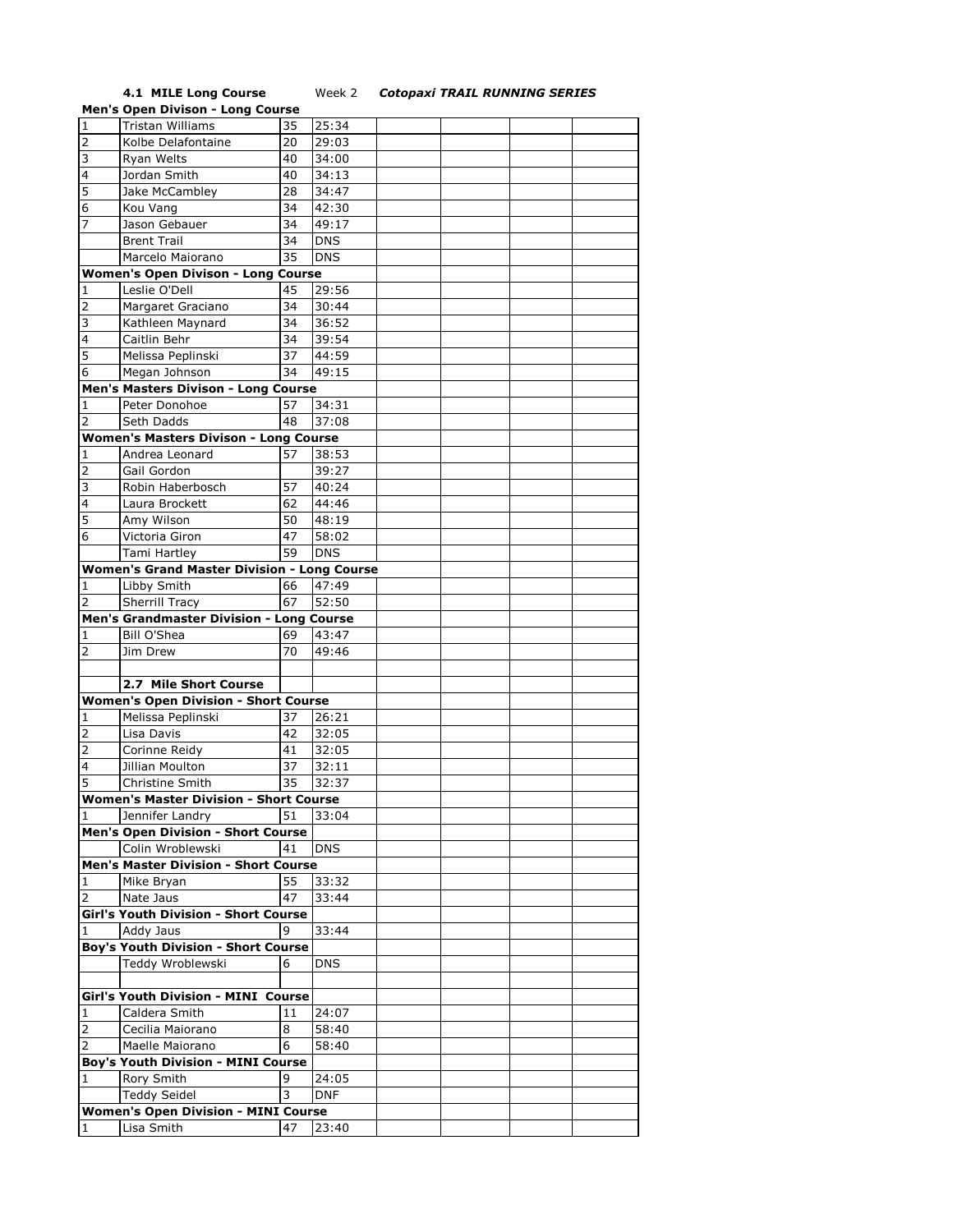**4.1 MILE Long Course** Week 2 *Cotopaxi TRAIL RUNNING SERIES*

|              | <b>Men's Open Divison - Long Course</b>            |    |            |  |  |
|--------------|----------------------------------------------------|----|------------|--|--|
| $\mathbf{1}$ | <b>Tristan Williams</b>                            | 35 | 25:34      |  |  |
| 2            | Kolbe Delafontaine                                 | 20 | 29:03      |  |  |
| 3            | Ryan Welts                                         | 40 | 34:00      |  |  |
| 4            | Jordan Smith                                       | 40 | 34:13      |  |  |
| 5            | Jake McCambley                                     | 28 | 34:47      |  |  |
| 6            | Kou Vang                                           | 34 | 42:30      |  |  |
| 7            | Jason Gebauer                                      | 34 | 49:17      |  |  |
|              | <b>Brent Trail</b>                                 | 34 | <b>DNS</b> |  |  |
|              | Marcelo Maiorano                                   | 35 | <b>DNS</b> |  |  |
|              |                                                    |    |            |  |  |
|              | <b>Women's Open Divison - Long Course</b>          |    |            |  |  |
| 1            | Leslie O'Dell                                      | 45 | 29:56      |  |  |
| 2            | Margaret Graciano                                  | 34 | 30:44      |  |  |
| 3            | Kathleen Maynard                                   | 34 | 36:52      |  |  |
| 4            | Caitlin Behr                                       | 34 | 39:54      |  |  |
| 5            | Melissa Peplinski                                  | 37 | 44:59      |  |  |
| 6            | Megan Johnson                                      | 34 | 49:15      |  |  |
|              | Men's Masters Divison - Long Course                |    |            |  |  |
| 1            | Peter Donohoe                                      | 57 | 34:31      |  |  |
| 2            | Seth Dadds                                         | 48 | 37:08      |  |  |
|              | <b>Women's Masters Divison - Long Course</b>       |    |            |  |  |
| 1            | Andrea Leonard                                     | 57 | 38:53      |  |  |
| 2            | Gail Gordon                                        |    | 39:27      |  |  |
| 3            | Robin Haberbosch                                   | 57 | 40:24      |  |  |
| 4            | Laura Brockett                                     | 62 | 44:46      |  |  |
| 5            | Amy Wilson                                         | 50 | 48:19      |  |  |
| 6            | Victoria Giron                                     | 47 | 58:02      |  |  |
|              | Tami Hartley                                       | 59 | <b>DNS</b> |  |  |
|              | <b>Women's Grand Master Division - Long Course</b> |    |            |  |  |
| 1            | Libby Smith                                        | 66 | 47:49      |  |  |
| 2            | <b>Sherrill Tracy</b>                              | 67 | 52:50      |  |  |
|              | <b>Men's Grandmaster Division - Long Course</b>    |    |            |  |  |
| 1            | <b>Bill O'Shea</b>                                 | 69 | 43:47      |  |  |
| 2            | Jim Drew                                           | 70 | 49:46      |  |  |
|              |                                                    |    |            |  |  |
|              | 2.7 Mile Short Course                              |    |            |  |  |
|              |                                                    |    |            |  |  |
|              | <b>Women's Open Division - Short Course</b>        |    |            |  |  |
| 1            | Melissa Peplinski                                  | 37 | 26:21      |  |  |
| 2            | Lisa Davis                                         | 42 | 32:05      |  |  |
| 2            | Corinne Reidy                                      | 41 | 32:05      |  |  |
| 4            | Jillian Moulton                                    | 37 | 32:11      |  |  |
| 5            | Christine Smith                                    | 35 | 32:37      |  |  |
|              | <b>Women's Master Division - Short Course</b>      |    |            |  |  |
| 1            | Jennifer Landry                                    | 51 | 33:04      |  |  |
|              | <b>Men's Open Division - Short Course</b>          |    |            |  |  |
|              | Colin Wroblewski                                   | 41 | <b>DNS</b> |  |  |
|              | <b>Men's Master Division - Short Course</b>        |    |            |  |  |
| 1            | Mike Bryan                                         | 55 | 33:32      |  |  |
| 2            | Nate Jaus                                          | 47 | 33:44      |  |  |
|              | Girl's Youth Division - Short Course               |    |            |  |  |
| 1            | Addy Jaus                                          | 9  | 33:44      |  |  |
|              | <b>Boy's Youth Division - Short Course</b>         |    |            |  |  |
|              | Teddy Wroblewski                                   | 6  | <b>DNS</b> |  |  |
|              |                                                    |    |            |  |  |
|              | <b>Girl's Youth Division - MINI Course</b>         |    |            |  |  |
| 1            | Caldera Smith                                      | 11 | 24:07      |  |  |
| 2            | Cecilia Maiorano                                   | 8  | 58:40      |  |  |
| 2            | Maelle Maiorano                                    | 6  | 58:40      |  |  |
|              | <b>Boy's Youth Division - MINI Course</b>          |    |            |  |  |
| 1            | Rory Smith                                         | 9  | 24:05      |  |  |
|              | <b>Teddy Seidel</b>                                | 3  | <b>DNF</b> |  |  |
|              |                                                    |    |            |  |  |
|              | <b>Women's Open Division - MINI Course</b>         |    |            |  |  |
| 1            | Lisa Smith                                         | 47 | 23:40      |  |  |